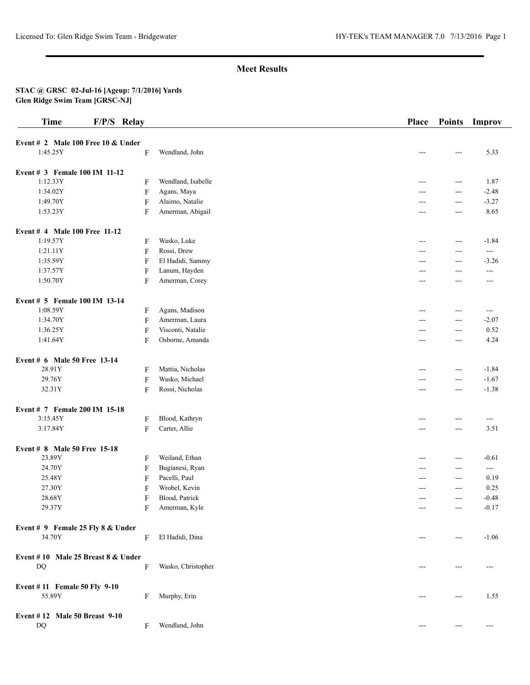# **Meet Results**

#### **STAC @ GRSC 02-Jul-16 [Ageup: 7/1/2016] Yards Glen Ridge Swim Team [GRSC-NJ]**

| <b>Time</b>                        | F/P/S Relay |                           |                    | <b>Place</b> | <b>Points</b> | Improv            |
|------------------------------------|-------------|---------------------------|--------------------|--------------|---------------|-------------------|
| Event # 2 Male 100 Free 10 & Under |             |                           |                    |              |               |                   |
| 1:45.25Y                           |             | F                         | Wendland, John     |              | ---           | 5.33              |
| Event # 3 Female 100 IM 11-12      |             |                           |                    |              |               |                   |
| 1:12.33Y                           |             | F                         | Wendland, Isabelle | ---          | $---$         | 1.87              |
| 1:34.02Y                           |             | F                         | Agans, Maya        |              | ---           | $-2.48$           |
| 1:49.70Y                           |             | $\boldsymbol{\mathrm{F}}$ | Alaimo, Natalie    |              | ---           | $-3.27$           |
| 1:53.23Y                           |             | F                         | Amerman, Abigail   | ---          | ---           | 8.65              |
| Event # 4 Male 100 Free 11-12      |             |                           |                    |              |               |                   |
| 1:19.57Y                           |             | F                         | Wasko, Luke        | $---$        | $ -$          | $-1.84$           |
| 1:21.11Y                           |             | $\boldsymbol{\mathrm{F}}$ | Rossi, Drew        | ---          | ---           | $- - -$           |
| 1:35.59Y                           |             | $\mathbf F$               | El Hadidi, Sammy   | ---          | $---$         | $-3.26$           |
| 1:37.57Y                           |             | $\boldsymbol{\mathrm{F}}$ | Lanum, Hayden      | $---$        | ---           | $---$             |
| 1:50.70Y                           |             | F                         | Amerman, Corey     | ---          | ---           | $---$             |
| Event # 5 Female 100 IM 13-14      |             |                           |                    |              |               |                   |
| 1:08.59Y                           |             | F                         | Agans, Madison     | ---          | $---$         | $\qquad \qquad -$ |
| 1:34.70Y                           |             | F                         | Amerman, Laura     | ---          | ---           | $-2.07$           |
| 1:36.25Y                           |             | F                         | Visconti, Natalie  | ---          | ---           | 0.52              |
| 1:41.64Y                           |             | F                         | Osborne, Amanda    | $---$        | ---           | 4.24              |
| Event # 6 Male 50 Free 13-14       |             |                           |                    |              |               |                   |
| 28.91Y                             |             | F                         | Mattia, Nicholas   | $---$        | $ -$          | $-1.84$           |
| 29.76Y                             |             | F                         | Wasko, Michael     | ---          | ---           | $-1.67$           |
| 32.31Y                             |             | F                         | Rossi, Nicholas    | ---          | $\frac{1}{2}$ | $-1.38$           |
| Event # 7 Female 200 IM 15-18      |             |                           |                    |              |               |                   |
| 3:15.45Y                           |             | F                         | Blood, Kathryn     | ---          | ---           | $\qquad \qquad -$ |
| 3:17.84Y                           |             | $\boldsymbol{\mathrm{F}}$ | Carter, Allie      | $---$        | $ -$          | 3.51              |
| Event # 8 Male 50 Free 15-18       |             |                           |                    |              |               |                   |
| 23.89Y                             |             | F                         | Weiland, Ethan     | $---$        | $---$         | $-0.61$           |
| 24.70Y                             |             | F                         | Bugianesi, Ryan    | $---$        | $---$         | $---$             |
| 25.48Y                             |             | F                         | Pacelli, Paul      | ---          | ---           | 0.19              |
| 27.30Y                             |             | F                         | Wrobel, Kevin      |              | ---           | 0.25              |
| 28.68Y                             |             | F                         | Blood, Patrick     | $---$        | ---           | $-0.48$           |
| 29.37Y                             |             | F                         | Amerman, Kyle      | ---          | ---           | $-0.17$           |
| Event # 9 Female 25 Fly 8 & Under  |             |                           |                    |              |               |                   |
| 34.70Y                             |             | F                         | El Hadidi, Dina    |              | ---           | $-1.06$           |
| Event #10 Male 25 Breast 8 & Under |             |                           |                    |              |               |                   |
| DQ                                 |             | F                         | Wasko, Christopher |              | ---           | ---               |
| Event #11 Female 50 Fly 9-10       |             |                           |                    |              |               |                   |
| 55.89Y                             |             | F                         | Murphy, Erin       | ---          | $---$         | 1.55              |
| Event #12 Male 50 Breast 9-10      |             |                           |                    |              |               |                   |
| DQ                                 |             | F                         | Wendland, John     | ---          | ---           | $---$             |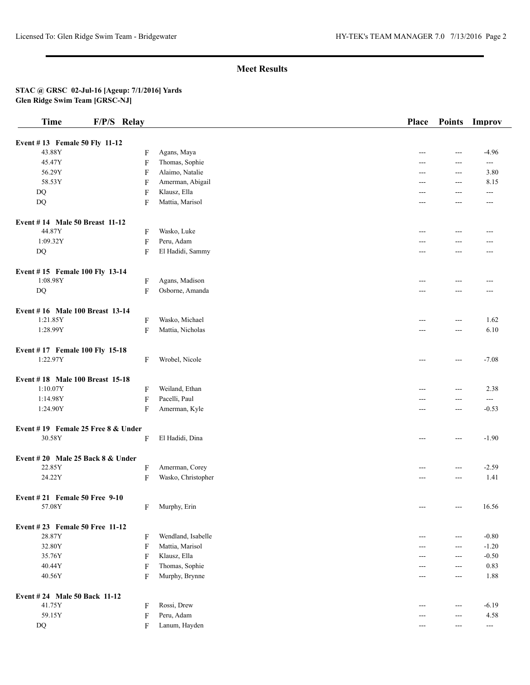# **Meet Results**

#### **STAC @ GRSC 02-Jul-16 [Ageup: 7/1/2016] Yards Glen Ridge Swim Team [GRSC-NJ]**

| <b>Time</b>                                | F/P/S Relay               |                    | Place | <b>Points</b>  | Improv                |
|--------------------------------------------|---------------------------|--------------------|-------|----------------|-----------------------|
|                                            |                           |                    |       |                |                       |
| Event #13 Female 50 Fly 11-12<br>43.88Y    | F                         | Agans, Maya        |       | $---$          | $-4.96$               |
| 45.47Y                                     | $\overline{F}$            | Thomas, Sophie     | ---   | ---            | $\cdots$              |
| 56.29Y                                     | $\mathbf F$               | Alaimo, Natalie    | ---   | ---            | 3.80                  |
| 58.53Y                                     | $\mathbf F$               | Amerman, Abigail   |       | ---            | 8.15                  |
| DQ                                         | F                         | Klausz, Ella       | ---   | $---$          | ---                   |
| DQ                                         | F                         | Mattia, Marisol    |       | ---            | ---                   |
| Event #14 Male 50 Breast 11-12             |                           |                    |       |                |                       |
| 44.87Y                                     | F                         | Wasko, Luke        | ---   | ---            |                       |
| 1:09.32Y                                   | $\overline{F}$            | Peru, Adam         | ---   | ---            | ---<br>---            |
| DQ                                         | $\mathbf F$               | El Hadidi, Sammy   | $---$ | ---            | $---$                 |
|                                            |                           |                    |       |                |                       |
| Event #15 Female 100 Fly 13-14<br>1:08.98Y |                           |                    |       |                |                       |
|                                            | F                         | Agans, Madison     |       | ---            | ---                   |
| DQ                                         | F                         | Osborne, Amanda    | $---$ | $---$          | $---$                 |
| Event #16 Male 100 Breast 13-14            |                           |                    |       |                |                       |
| 1:21.85Y                                   | $\mathbf F$               | Wasko, Michael     | ---   | ---            | 1.62                  |
| 1:28.99Y                                   | $\overline{F}$            | Mattia, Nicholas   | ---   | $---$          | 6.10                  |
| Event #17 Female 100 Fly 15-18             |                           |                    |       |                |                       |
| 1:22.97Y                                   | F                         | Wrobel, Nicole     | $---$ | $---$          | $-7.08$               |
| Event #18 Male 100 Breast 15-18            |                           |                    |       |                |                       |
| 1:10.07Y                                   | $\mathbf F$               | Weiland, Ethan     |       | ---            | 2.38                  |
| 1:14.98Y                                   | $\mathbf F$               | Pacelli, Paul      |       | $---$          | $--$                  |
| 1:24.90Y                                   | $\mathbf{F}$              | Amerman, Kyle      | ---   | $---$          | $-0.53$               |
| Event #19 Female 25 Free 8 & Under         |                           |                    |       |                |                       |
| 30.58Y                                     | F                         | El Hadidi, Dina    | $---$ | $---$          | $-1.90$               |
| Event #20 Male 25 Back 8 & Under           |                           |                    |       |                |                       |
| 22.85Y                                     | $\mathbf F$               | Amerman, Corey     |       | $---$          | $-2.59$               |
| 24.22Y                                     | $\mathbf F$               | Wasko, Christopher | ---   | ---            | 1.41                  |
| Event $\# 21$ Female 50 Free 9-10          |                           |                    |       |                |                       |
| 57.08Y                                     | F                         | Murphy, Erin       | $---$ | $\overline{a}$ | 16.56                 |
| Event #23 Female 50 Free 11-12             |                           |                    |       |                |                       |
| 28.87Y                                     | F                         | Wendland, Isabelle | ---   | $---$          | $-0.80$               |
| 32.80Y                                     | $\overline{F}$            | Mattia, Marisol    | $---$ | $\overline{a}$ | $-1.20$               |
| 35.76Y                                     | F                         | Klausz, Ella       | ---   | ---            | $-0.50$               |
| 40.44Y                                     | $\mathbf F$               | Thomas, Sophie     | ---   | $---$          | 0.83                  |
| 40.56Y                                     | F                         | Murphy, Brynne     | ---   | $\cdots$       | 1.88                  |
| Event # 24 Male 50 Back 11-12              |                           |                    |       |                |                       |
| 41.75Y                                     | F                         | Rossi, Drew        | ---   | ---            | $-6.19$               |
| 59.15Y                                     | $\boldsymbol{\mathrm{F}}$ | Peru, Adam         |       | $---$          | 4.58                  |
| $\rm DQ$                                   | F                         | Lanum, Hayden      | $---$ | ---            | $\scriptstyle \cdots$ |
|                                            |                           |                    |       |                |                       |